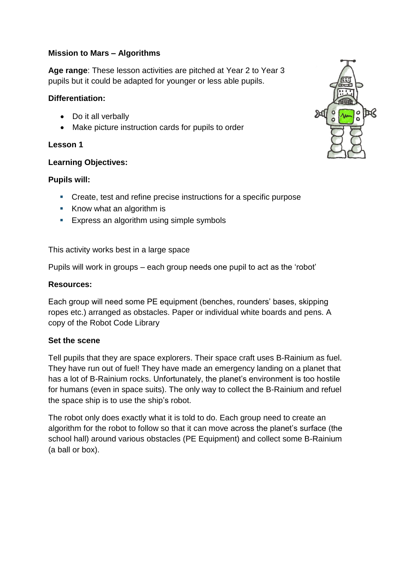## **Mission to Mars – Algorithms**

**Age range**: These lesson activities are pitched at Year 2 to Year 3 pupils but it could be adapted for younger or less able pupils.

## **Differentiation:**

- Do it all verbally
- Make picture instruction cards for pupils to order

# **Lesson 1**

# **Learning Objectives:**

# **Pupils will:**

- Create, test and refine precise instructions for a specific purpose
- Know what an algorithm is
- **Express an algorithm using simple symbols**

This activity works best in a large space

Pupils will work in groups – each group needs one pupil to act as the 'robot'

# **Resources:**

Each group will need some PE equipment (benches, rounders' bases, skipping ropes etc.) arranged as obstacles. Paper or individual white boards and pens. A copy of the Robot Code Library

# **Set the scene**

Tell pupils that they are space explorers. Their space craft uses B-Rainium as fuel. They have run out of fuel! They have made an emergency landing on a planet that has a lot of B-Rainium rocks. Unfortunately, the planet's environment is too hostile for humans (even in space suits). The only way to collect the B-Rainium and refuel the space ship is to use the ship's robot.

The robot only does exactly what it is told to do. Each group need to create an algorithm for the robot to follow so that it can move across the planet's surface (the school hall) around various obstacles (PE Equipment) and collect some B-Rainium (a ball or box).

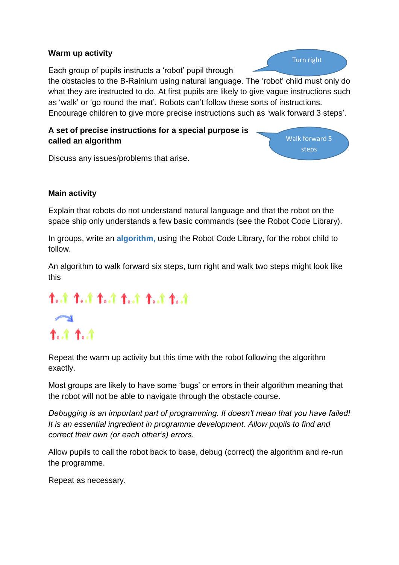### **Warm up activity**

Each group of pupils instructs a 'robot' pupil through

Turn right

the obstacles to the B-Rainium using natural language. The 'robot' child must only do what they are instructed to do. At first pupils are likely to give vague instructions such as 'walk' or 'go round the mat'. Robots can't follow these sorts of instructions. Encourage children to give more precise instructions such as 'walk forward 3 steps'.

## **A set of precise instructions for a special purpose is called an algorithm**



Discuss any issues/problems that arise.

## **Main activity**

Explain that robots do not understand natural language and that the robot on the space ship only understands a few basic commands (see the Robot Code Library).

In groups, write an **algorithm,** using the Robot Code Library, for the robot child to follow.

An algorithm to walk forward six steps, turn right and walk two steps might look like this

# 1.1 1.1 1.1 1.1 1.4. ተ..ተ ተ..ተ

Repeat the warm up activity but this time with the robot following the algorithm exactly.

Most groups are likely to have some 'bugs' or errors in their algorithm meaning that the robot will not be able to navigate through the obstacle course.

*Debugging is an important part of programming. It doesn't mean that you have failed! It is an essential ingredient in programme development. Allow pupils to find and correct their own (or each other's) errors.*

Allow pupils to call the robot back to base, debug (correct) the algorithm and re-run the programme.

Repeat as necessary.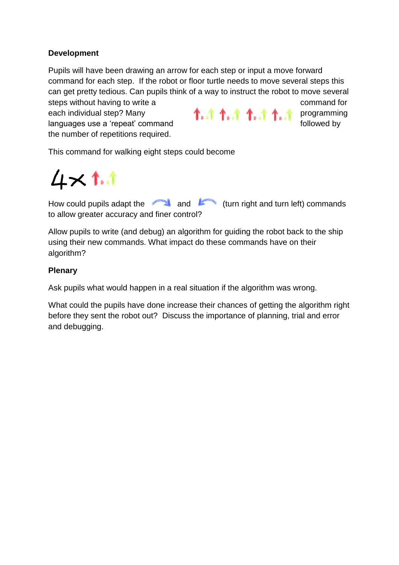## **Development**

Pupils will have been drawing an arrow for each step or input a move forward command for each step. If the robot or floor turtle needs to move several steps this can get pretty tedious. Can pupils think of a way to instruct the robot to move several steps without having to write a command for command for

each individual step? Many **programming** languages use a 'repeat' command followed by followed by the number of repetitions required.

This command for walking eight steps could become

 $4\times$  1.1

How could pupils adapt the and  $\blacksquare$  and  $\blacksquare$  (turn right and turn left) commands to allow greater accuracy and finer control?

Allow pupils to write (and debug) an algorithm for guiding the robot back to the ship using their new commands. What impact do these commands have on their algorithm?

### **Plenary**

Ask pupils what would happen in a real situation if the algorithm was wrong.

What could the pupils have done increase their chances of getting the algorithm right before they sent the robot out? Discuss the importance of planning, trial and error and debugging.